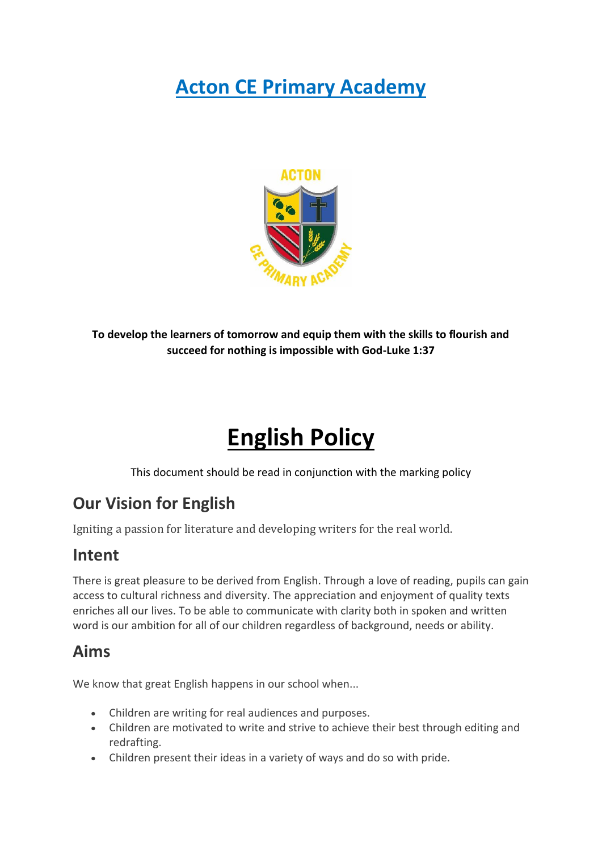# **Acton CE Primary Academy**



**To develop the learners of tomorrow and equip them with the skills to flourish and succeed for nothing is impossible with God-Luke 1:37**

# **English Policy**

This document should be read in conjunction with the marking policy

#### **Our Vision for English**

Igniting a passion for literature and developing writers for the real world.

#### **Intent**

There is great pleasure to be derived from English. Through a love of reading, pupils can gain access to cultural richness and diversity. The appreciation and enjoyment of quality texts enriches all our lives. To be able to communicate with clarity both in spoken and written word is our ambition for all of our children regardless of background, needs or ability.

#### **Aims**

We know that great English happens in our school when...

- Children are writing for real audiences and purposes.
- Children are motivated to write and strive to achieve their best through editing and redrafting.
- Children present their ideas in a variety of ways and do so with pride.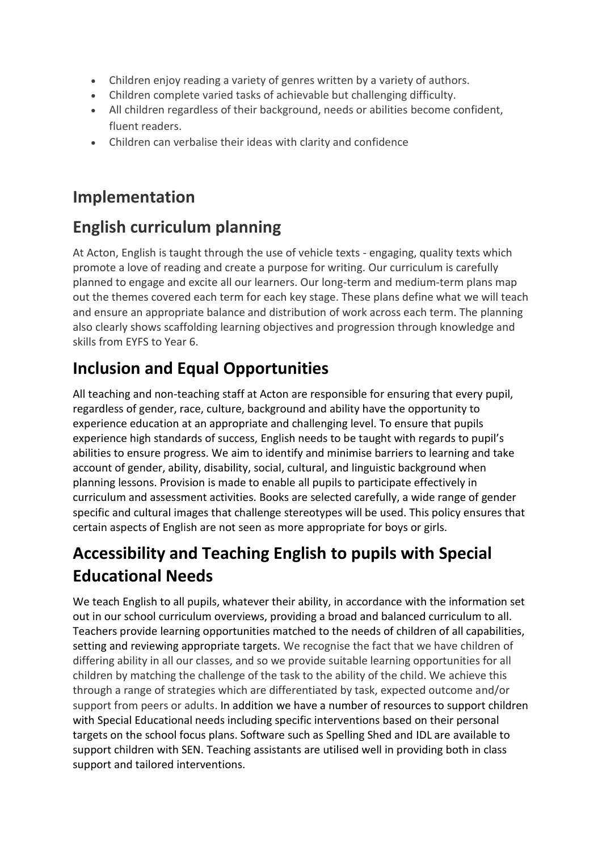- Children enjoy reading a variety of genres written by a variety of authors.
- Children complete varied tasks of achievable but challenging difficulty.
- All children regardless of their background, needs or abilities become confident, fluent readers.
- Children can verbalise their ideas with clarity and confidence

#### **Implementation**

#### **English curriculum planning**

At Acton, English is taught through the use of vehicle texts - engaging, quality texts which promote a love of reading and create a purpose for writing. Our curriculum is carefully planned to engage and excite all our learners. Our long-term and medium-term plans map out the themes covered each term for each key stage. These plans define what we will teach and ensure an appropriate balance and distribution of work across each term. The planning also clearly shows scaffolding learning objectives and progression through knowledge and skills from EYFS to Year 6.

### **Inclusion and Equal Opportunities**

All teaching and non-teaching staff at Acton are responsible for ensuring that every pupil, regardless of gender, race, culture, background and ability have the opportunity to experience education at an appropriate and challenging level. To ensure that pupils experience high standards of success, English needs to be taught with regards to pupil's abilities to ensure progress. We aim to identify and minimise barriers to learning and take account of gender, ability, disability, social, cultural, and linguistic background when planning lessons. Provision is made to enable all pupils to participate effectively in curriculum and assessment activities. Books are selected carefully, a wide range of gender specific and cultural images that challenge stereotypes will be used. This policy ensures that certain aspects of English are not seen as more appropriate for boys or girls.

#### **Accessibility and Teaching English to pupils with Special Educational Needs**

We teach English to all pupils, whatever their ability, in accordance with the information set out in our school curriculum overviews, providing a broad and balanced curriculum to all. Teachers provide learning opportunities matched to the needs of children of all capabilities, setting and reviewing appropriate targets. We recognise the fact that we have children of differing ability in all our classes, and so we provide suitable learning opportunities for all children by matching the challenge of the task to the ability of the child. We achieve this through a range of strategies which are differentiated by task, expected outcome and/or support from peers or adults. In addition we have a number of resources to support children with Special Educational needs including specific interventions based on their personal targets on the school focus plans. Software such as Spelling Shed and IDL are available to support children with SEN. Teaching assistants are utilised well in providing both in class support and tailored interventions.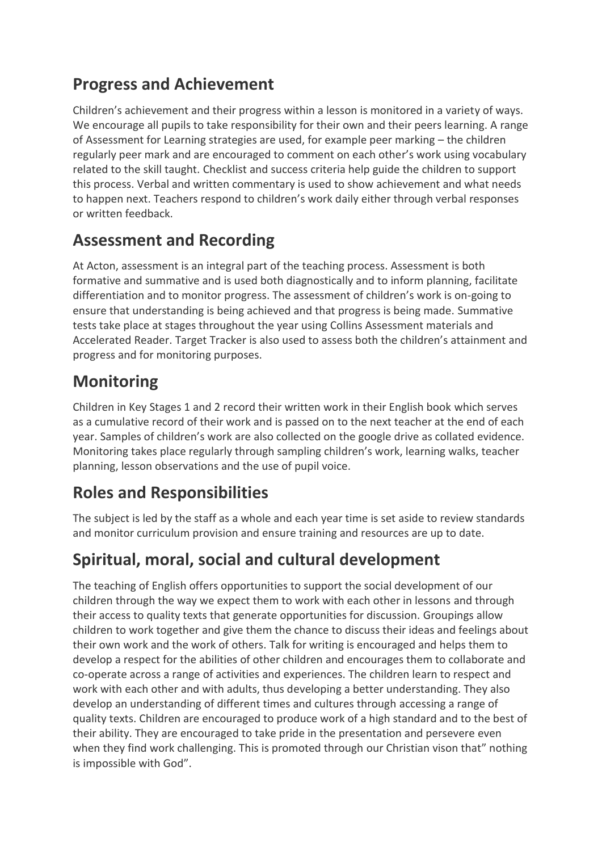#### **Progress and Achievement**

Children's achievement and their progress within a lesson is monitored in a variety of ways. We encourage all pupils to take responsibility for their own and their peers learning. A range of Assessment for Learning strategies are used, for example peer marking – the children regularly peer mark and are encouraged to comment on each other's work using vocabulary related to the skill taught. Checklist and success criteria help guide the children to support this process. Verbal and written commentary is used to show achievement and what needs to happen next. Teachers respond to children's work daily either through verbal responses or written feedback.

#### **Assessment and Recording**

At Acton, assessment is an integral part of the teaching process. Assessment is both formative and summative and is used both diagnostically and to inform planning, facilitate differentiation and to monitor progress. The assessment of children's work is on-going to ensure that understanding is being achieved and that progress is being made. Summative tests take place at stages throughout the year using Collins Assessment materials and Accelerated Reader. Target Tracker is also used to assess both the children's attainment and progress and for monitoring purposes.

#### **Monitoring**

Children in Key Stages 1 and 2 record their written work in their English book which serves as a cumulative record of their work and is passed on to the next teacher at the end of each year. Samples of children's work are also collected on the google drive as collated evidence. Monitoring takes place regularly through sampling children's work, learning walks, teacher planning, lesson observations and the use of pupil voice.

#### **Roles and Responsibilities**

The subject is led by the staff as a whole and each year time is set aside to review standards and monitor curriculum provision and ensure training and resources are up to date.

# **Spiritual, moral, social and cultural development**

The teaching of English offers opportunities to support the social development of our children through the way we expect them to work with each other in lessons and through their access to quality texts that generate opportunities for discussion. Groupings allow children to work together and give them the chance to discuss their ideas and feelings about their own work and the work of others. Talk for writing is encouraged and helps them to develop a respect for the abilities of other children and encourages them to collaborate and co-operate across a range of activities and experiences. The children learn to respect and work with each other and with adults, thus developing a better understanding. They also develop an understanding of different times and cultures through accessing a range of quality texts. Children are encouraged to produce work of a high standard and to the best of their ability. They are encouraged to take pride in the presentation and persevere even when they find work challenging. This is promoted through our Christian vison that" nothing is impossible with God".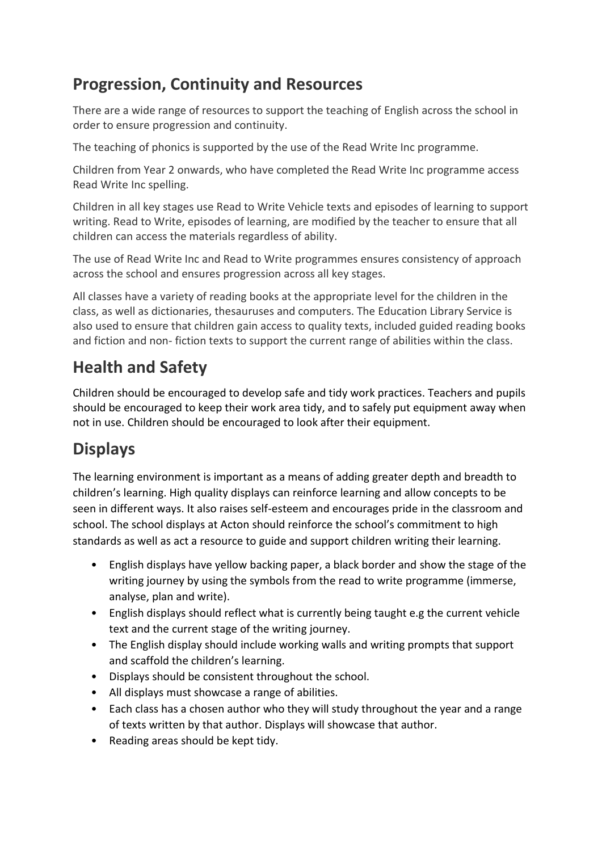#### **Progression, Continuity and Resources**

There are a wide range of resources to support the teaching of English across the school in order to ensure progression and continuity.

The teaching of phonics is supported by the use of the Read Write Inc programme.

Children from Year 2 onwards, who have completed the Read Write Inc programme access Read Write Inc spelling.

Children in all key stages use Read to Write Vehicle texts and episodes of learning to support writing. Read to Write, episodes of learning, are modified by the teacher to ensure that all children can access the materials regardless of ability.

The use of Read Write Inc and Read to Write programmes ensures consistency of approach across the school and ensures progression across all key stages.

All classes have a variety of reading books at the appropriate level for the children in the class, as well as dictionaries, thesauruses and computers. The Education Library Service is also used to ensure that children gain access to quality texts, included guided reading books and fiction and non- fiction texts to support the current range of abilities within the class.

#### **Health and Safety**

Children should be encouraged to develop safe and tidy work practices. Teachers and pupils should be encouraged to keep their work area tidy, and to safely put equipment away when not in use. Children should be encouraged to look after their equipment.

# **Displays**

The learning environment is important as a means of adding greater depth and breadth to children's learning. High quality displays can reinforce learning and allow concepts to be seen in different ways. It also raises self-esteem and encourages pride in the classroom and school. The school displays at Acton should reinforce the school's commitment to high standards as well as act a resource to guide and support children writing their learning.

- English displays have yellow backing paper, a black border and show the stage of the writing journey by using the symbols from the read to write programme (immerse, analyse, plan and write).
- English displays should reflect what is currently being taught e.g the current vehicle text and the current stage of the writing journey.
- The English display should include working walls and writing prompts that support and scaffold the children's learning.
- Displays should be consistent throughout the school.
- All displays must showcase a range of abilities.
- Each class has a chosen author who they will study throughout the year and a range of texts written by that author. Displays will showcase that author.
- Reading areas should be kept tidy.